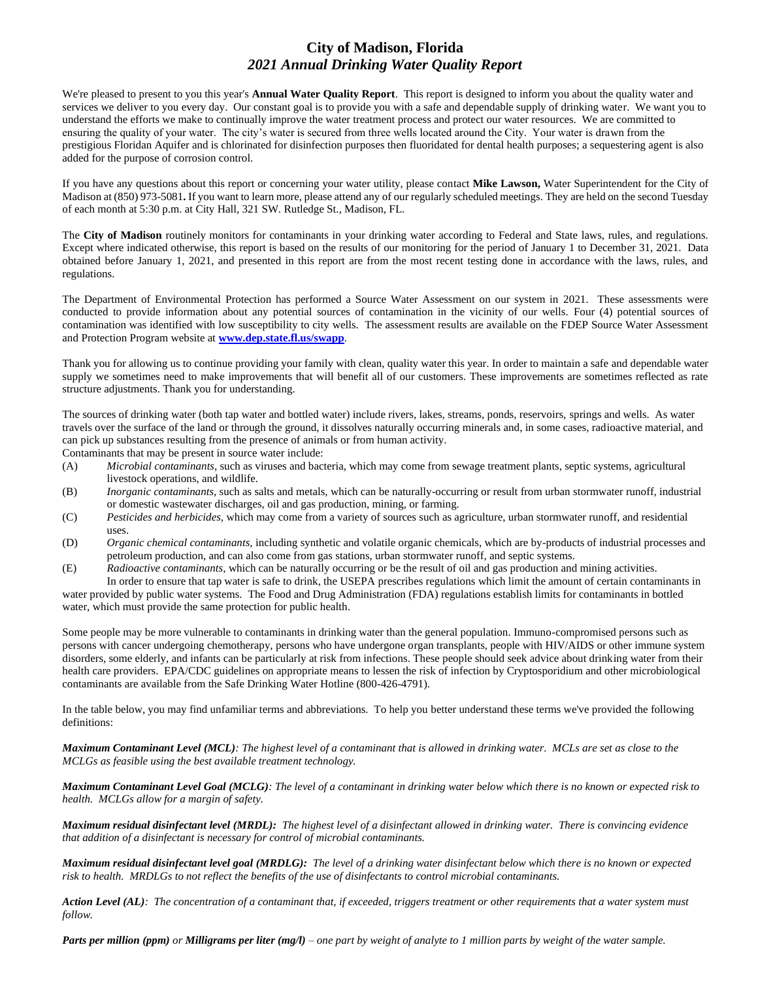## **City of Madison, Florida** *2021 Annual Drinking Water Quality Report*

We're pleased to present to you this year's **Annual Water Quality Report**. This report is designed to inform you about the quality water and services we deliver to you every day. Our constant goal is to provide you with a safe and dependable supply of drinking water. We want you to understand the efforts we make to continually improve the water treatment process and protect our water resources. We are committed to ensuring the quality of your water. The city's water is secured from three wells located around the City. Your water is drawn from the prestigious Floridan Aquifer and is chlorinated for disinfection purposes then fluoridated for dental health purposes; a sequestering agent is also added for the purpose of corrosion control.

If you have any questions about this report or concerning your water utility, please contact **Mike Lawson,** Water Superintendent for the City of Madison at (850) 973-5081**.** If you want to learn more, please attend any of our regularly scheduled meetings. They are held on the second Tuesday of each month at 5:30 p.m. at City Hall, 321 SW. Rutledge St., Madison, FL.

The **City of Madison** routinely monitors for contaminants in your drinking water according to Federal and State laws, rules, and regulations. Except where indicated otherwise, this report is based on the results of our monitoring for the period of January 1 to December 31, 2021. Data obtained before January 1, 2021, and presented in this report are from the most recent testing done in accordance with the laws, rules, and regulations.

The Department of Environmental Protection has performed a Source Water Assessment on our system in 2021. These assessments were conducted to provide information about any potential sources of contamination in the vicinity of our wells. Four (4) potential sources of contamination was identified with low susceptibility to city wells. The assessment results are available on the FDEP Source Water Assessment and Protection Program website at **[www.dep.state.fl.us/swapp](http://www.dep.state.fl.us/swapp)**.

Thank you for allowing us to continue providing your family with clean, quality water this year. In order to maintain a safe and dependable water supply we sometimes need to make improvements that will benefit all of our customers. These improvements are sometimes reflected as rate structure adjustments. Thank you for understanding.

The sources of drinking water (both tap water and bottled water) include rivers, lakes, streams, ponds, reservoirs, springs and wells. As water travels over the surface of the land or through the ground, it dissolves naturally occurring minerals and, in some cases, radioactive material, and can pick up substances resulting from the presence of animals or from human activity.

Contaminants that may be present in source water include:

- (A) *Microbial contaminants*, such as viruses and bacteria, which may come from sewage treatment plants, septic systems, agricultural livestock operations, and wildlife.
- (B) *Inorganic contaminants,* such as salts and metals, which can be naturally-occurring or result from urban stormwater runoff, industrial or domestic wastewater discharges, oil and gas production, mining, or farming.
- (C) *Pesticides and herbicides,* which may come from a variety of sources such as agriculture, urban stormwater runoff, and residential uses.
- (D) *Organic chemical contaminants,* including synthetic and volatile organic chemicals, which are by-products of industrial processes and petroleum production, and can also come from gas stations, urban stormwater runoff, and septic systems.
- (E) *Radioactive contaminants,* which can be naturally occurring or be the result of oil and gas production and mining activities. In order to ensure that tap water is safe to drink, the USEPA prescribes regulations which limit the amount of certain contaminants in

water provided by public water systems. The Food and Drug Administration (FDA) regulations establish limits for contaminants in bottled water, which must provide the same protection for public health.

Some people may be more vulnerable to contaminants in drinking water than the general population. Immuno-compromised persons such as persons with cancer undergoing chemotherapy, persons who have undergone organ transplants, people with HIV/AIDS or other immune system disorders, some elderly, and infants can be particularly at risk from infections. These people should seek advice about drinking water from their health care providers. EPA/CDC guidelines on appropriate means to lessen the risk of infection by Cryptosporidium and other microbiological contaminants are available from the Safe Drinking Water Hotline (800-426-4791).

In the table below, you may find unfamiliar terms and abbreviations. To help you better understand these terms we've provided the following definitions:

*Maximum Contaminant Level (MCL): The highest level of a contaminant that is allowed in drinking water. MCLs are set as close to the MCLGs as feasible using the best available treatment technology.*

*Maximum Contaminant Level Goal (MCLG): The level of a contaminant in drinking water below which there is no known or expected risk to health. MCLGs allow for a margin of safety.*

*Maximum residual disinfectant level (MRDL): The highest level of a disinfectant allowed in drinking water. There is convincing evidence that addition of a disinfectant is necessary for control of microbial contaminants.*

*Maximum residual disinfectant level goal (MRDLG): The level of a drinking water disinfectant below which there is no known or expected risk to health. MRDLGs to not reflect the benefits of the use of disinfectants to control microbial contaminants.*

*Action Level (AL): The concentration of a contaminant that, if exceeded, triggers treatment or other requirements that a water system must follow.*

*Parts per million (ppm) or Milligrams per liter (mg/l) – one part by weight of analyte to 1 million parts by weight of the water sample.*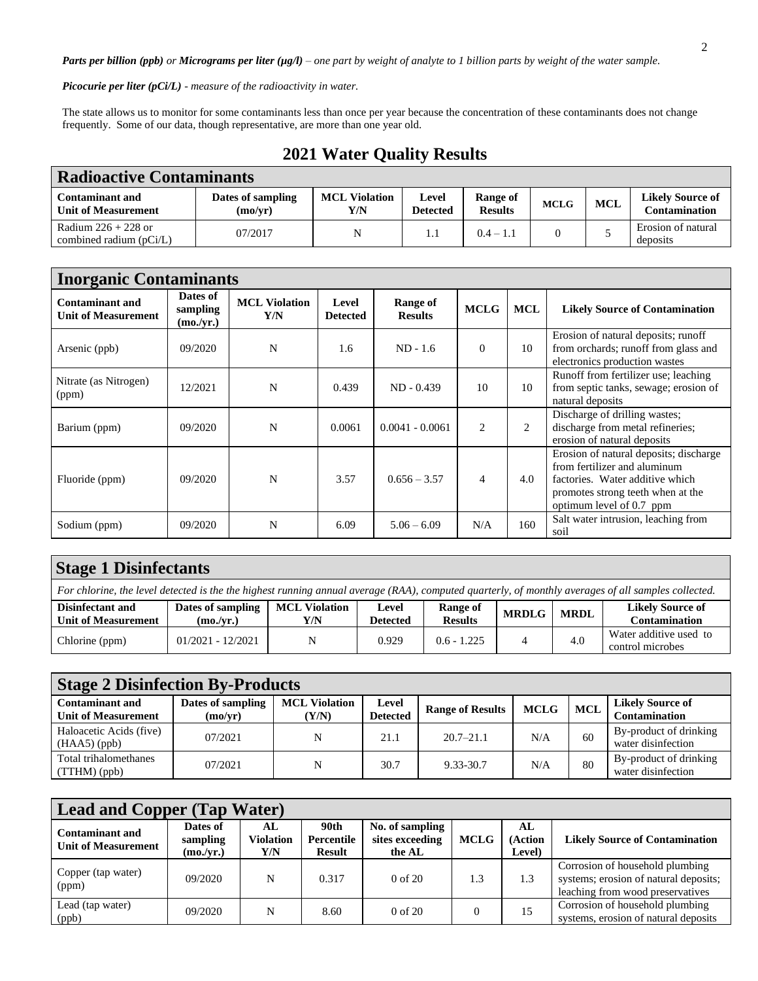*Parts per billion (ppb) or Micrograms per liter (µg/l) – one part by weight of analyte to 1 billion parts by weight of the water sample.*

*Picocurie per liter (pCi/L) - measure of the radioactivity in water.*

The state allows us to monitor for some contaminants less than once per year because the concentration of these contaminants does not change frequently. Some of our data, though representative, are more than one year old.

| <b>Radioactive Contaminants</b>                      |                              |                             |                          |                            |             |     |                                          |  |  |  |
|------------------------------------------------------|------------------------------|-----------------------------|--------------------------|----------------------------|-------------|-----|------------------------------------------|--|--|--|
| <b>Contaminant and</b><br><b>Unit of Measurement</b> | Dates of sampling<br>(mo/yr) | <b>MCL Violation</b><br>Y/N | Level<br><b>Detected</b> | Range of<br><b>Results</b> | <b>MCLG</b> | MCL | <b>Likely Source of</b><br>Contamination |  |  |  |
| Radium $226 + 228$ or<br>combined radium $(pCi/L)$   | 07/2017                      | N                           |                          | $0.4 - 1.1$                |             |     | Erosion of natural<br>deposits           |  |  |  |

| <b>2021 Water Quality Results</b> |  |
|-----------------------------------|--|
|-----------------------------------|--|

| <b>Inorganic Contaminants</b>                        |                                   |                             |                          |                            |                |            |                                                                                                                                                                            |  |  |  |  |
|------------------------------------------------------|-----------------------------------|-----------------------------|--------------------------|----------------------------|----------------|------------|----------------------------------------------------------------------------------------------------------------------------------------------------------------------------|--|--|--|--|
| <b>Contaminant and</b><br><b>Unit of Measurement</b> | Dates of<br>sampling<br>(mo./yr.) | <b>MCL Violation</b><br>Y/N | Level<br><b>Detected</b> | Range of<br><b>Results</b> | <b>MCLG</b>    | <b>MCL</b> | <b>Likely Source of Contamination</b>                                                                                                                                      |  |  |  |  |
| Arsenic (ppb)                                        | 09/2020                           | N                           | 1.6                      | $ND - 1.6$                 | $\Omega$       | 10         | Erosion of natural deposits; runoff<br>from orchards; runoff from glass and<br>electronics production wastes                                                               |  |  |  |  |
| Nitrate (as Nitrogen)<br>(ppm)                       | 12/2021                           | N                           | 0.439                    | $ND - 0.439$               | 10             | 10         | Runoff from fertilizer use; leaching<br>from septic tanks, sewage; erosion of<br>natural deposits                                                                          |  |  |  |  |
| Barium (ppm)                                         | 09/2020                           | N                           | 0.0061                   | $0.0041 - 0.0061$          | 2              | 2          | Discharge of drilling wastes;<br>discharge from metal refineries;<br>erosion of natural deposits                                                                           |  |  |  |  |
| Fluoride (ppm)                                       | 09/2020                           | N                           | 3.57                     | $0.656 - 3.57$             | $\overline{4}$ | 4.0        | Erosion of natural deposits; discharge<br>from fertilizer and aluminum<br>factories. Water additive which<br>promotes strong teeth when at the<br>optimum level of 0.7 ppm |  |  |  |  |
| Sodium (ppm)                                         | 09/2020                           | N                           | 6.09                     | $5.06 - 6.09$              | N/A            | 160        | Salt water intrusion, leaching from<br>soil                                                                                                                                |  |  |  |  |

| <b>Stage 1 Disinfectants</b>                                                                                                                        |                                |                             |                          |                            |              |             |                                                 |  |  |  |
|-----------------------------------------------------------------------------------------------------------------------------------------------------|--------------------------------|-----------------------------|--------------------------|----------------------------|--------------|-------------|-------------------------------------------------|--|--|--|
| For chlorine, the level detected is the the highest running annual average (RAA), computed quarterly, of monthly averages of all samples collected. |                                |                             |                          |                            |              |             |                                                 |  |  |  |
| Disinfectant and<br><b>Unit of Measurement</b>                                                                                                      | Dates of sampling<br>(mo./yr.) | <b>MCL Violation</b><br>Y/N | Level<br><b>Detected</b> | Range of<br><b>Results</b> | <b>MRDLG</b> | <b>MRDL</b> | <b>Likely Source of</b><br><b>Contamination</b> |  |  |  |
| Chlorine (ppm)                                                                                                                                      | $01/2021 - 12/2021$            | N                           | 0.929                    | $0.6 - 1.225$              |              | 4.0         | Water additive used to<br>control microbes      |  |  |  |

| <b>Stage 2 Disinfection By-Products</b>              |                              |                               |                          |                         |             |     |                                              |  |  |  |
|------------------------------------------------------|------------------------------|-------------------------------|--------------------------|-------------------------|-------------|-----|----------------------------------------------|--|--|--|
| <b>Contaminant and</b><br><b>Unit of Measurement</b> | Dates of sampling<br>(mo/yr) | <b>MCL Violation</b><br>(Y/N) | Level<br><b>Detected</b> | <b>Range of Results</b> | <b>MCLG</b> | MCL | <b>Likely Source of</b><br>Contamination     |  |  |  |
| Haloacetic Acids (five)<br>$(HAA5)$ (ppb)            | 07/2021                      | N                             | 21.1                     | $20.7 - 21.1$           | N/A         | 60  | By-product of drinking<br>water disinfection |  |  |  |
| Total trihalomethanes<br>(TTHM)(ppb)                 | 07/2021                      | N                             | 30.7                     | 9.33-30.7               | N/A         | 80  | By-product of drinking<br>water disinfection |  |  |  |

| <b>Lead and Copper (Tap Water)</b>                   |                                   |                               |                                     |                                              |             |                                      |                                                                                                              |  |  |
|------------------------------------------------------|-----------------------------------|-------------------------------|-------------------------------------|----------------------------------------------|-------------|--------------------------------------|--------------------------------------------------------------------------------------------------------------|--|--|
| <b>Contaminant and</b><br><b>Unit of Measurement</b> | Dates of<br>sampling<br>(mo./yr.) | AL<br><b>Violation</b><br>Y/N | 90th<br>Percentile<br><b>Result</b> | No. of sampling<br>sites exceeding<br>the AL | <b>MCLG</b> | AL<br><b>Action</b><br><b>Level)</b> | <b>Likely Source of Contamination</b>                                                                        |  |  |
| Copper (tap water)<br>(ppm)                          | 09/2020                           | N                             | 0.317                               | $0$ of $20$                                  | 1.3         | 1.3                                  | Corrosion of household plumbing<br>systems; erosion of natural deposits;<br>leaching from wood preservatives |  |  |
| Lead (tap water)<br>(ppb)                            | 09/2020                           | N                             | 8.60                                | $0$ of $20$                                  | $\Omega$    | 15                                   | Corrosion of household plumbing<br>systems, erosion of natural deposits                                      |  |  |